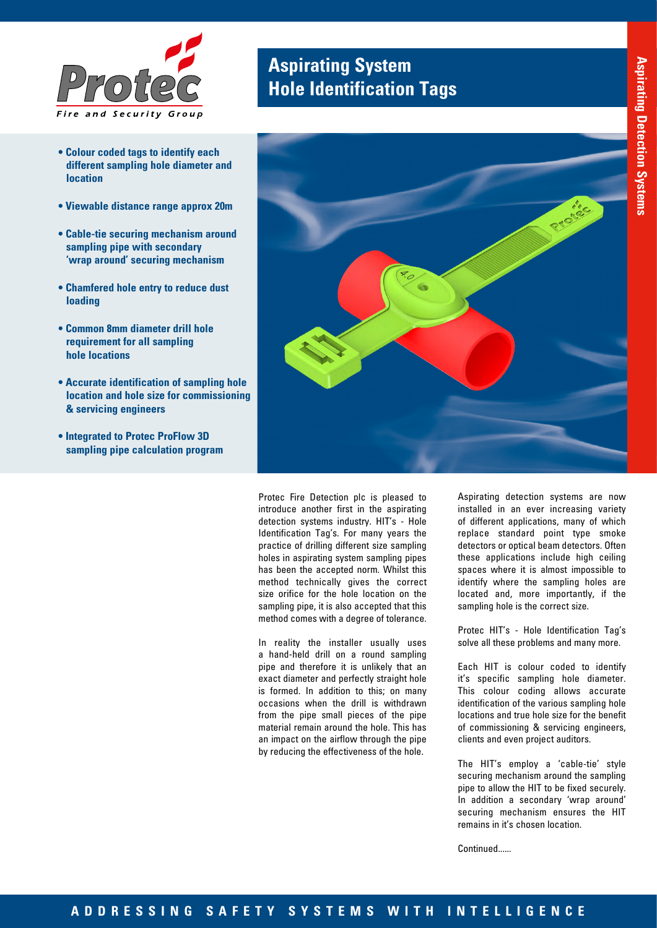

- **Colour coded tags to identify each different sampling hole diameter and location**
- **Viewable distance range approx 20m**
- **Cable-tie securing mechanism around sampling pipe with secondary 'wrap around' securing mechanism**
- **Chamfered hole entry to reduce dust loading**
- **Common 8mm diameter drill hole requirement for all sampling hole locations**
- **Accurate identification of sampling hole location and hole size for commissioning & servicing engineers**
- **Integrated to Protec ProFlow 3D sampling pipe calculation program**

## **Aspirating System Hole Identification Tags**



Protec Fire Detection plc is pleased to introduce another first in the aspirating detection systems industry. HIT's - Hole Identification Tag's. For many years the practice of drilling different size sampling holes in aspirating system sampling pipes has been the accepted norm. Whilst this method technically gives the correct size orifice for the hole location on the sampling pipe, it is also accepted that this method comes with a degree of tolerance.

In reality the installer usually uses a hand-held drill on a round sampling pipe and therefore it is unlikely that an exact diameter and perfectly straight hole is formed. In addition to this; on many occasions when the drill is withdrawn from the pipe small pieces of the pipe material remain around the hole. This has an impact on the airflow through the pipe by reducing the effectiveness of the hole.

Aspirating detection systems are now installed in an ever increasing variety of different applications, many of which replace standard point type smoke detectors or optical beam detectors. Often these applications include high ceiling spaces where it is almost impossible to identify where the sampling holes are located and, more importantly, if the sampling hole is the correct size.

Protec HIT's - Hole Identification Tag's solve all these problems and many more.

Each HIT is colour coded to identify it's specific sampling hole diameter. This colour coding allows accurate identification of the various sampling hole locations and true hole size for the benefit of commissioning & servicing engineers, clients and even project auditors.

The HIT's employ a 'cable-tie' style securing mechanism around the sampling pipe to allow the HIT to be fixed securely. In addition a secondary 'wrap around' securing mechanism ensures the HIT remains in it's chosen location.

Continued......